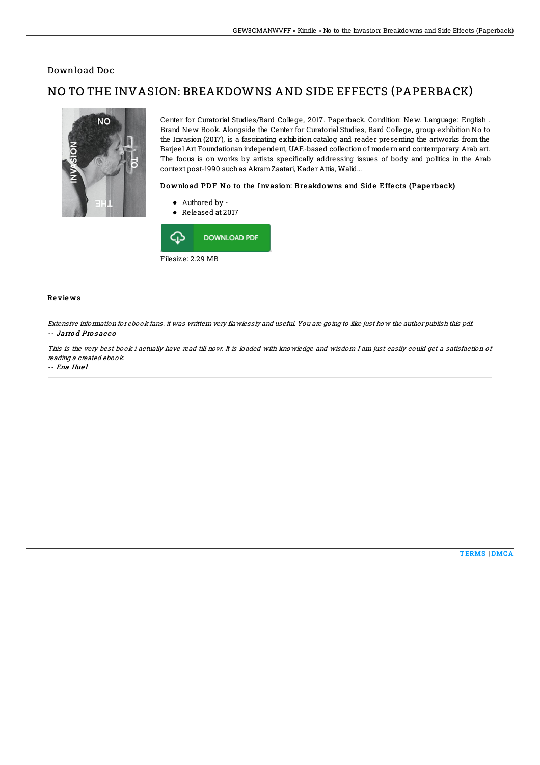## Download Doc

# NO TO THE INVASION: BREAKDOWNS AND SIDE EFFECTS (PAPERBACK)



Center for Curatorial Studies/Bard College, 2017. Paperback. Condition: New. Language: English . Brand New Book. Alongside the Center for Curatorial Studies, Bard College, group exhibition No to the Invasion (2017), is a fascinating exhibition catalog and reader presenting the artworks from the Barjeel Art Foundationanindependent, UAE-based collectionof modernand contemporary Arab art. The focus is on works by artists specifically addressing issues of body and politics in the Arab context post-1990 suchas AkramZaatari, Kader Attia, Walid...

### Download PDF No to the Invasion: Breakdowns and Side Effects (Paperback)

- Authored by -
- Released at 2017



#### Re vie ws

Extensive information for ebook fans. it was writtern very flawlessly and useful. You are going to like just how the author publish this pdf. -- Jarro d Pro s ac c o

This is the very best book i actually have read till now. It is loaded with knowledge and wisdom I am just easily could get <sup>a</sup> satisfaction of reading <sup>a</sup> created ebook.

#### -- Ena Hue l